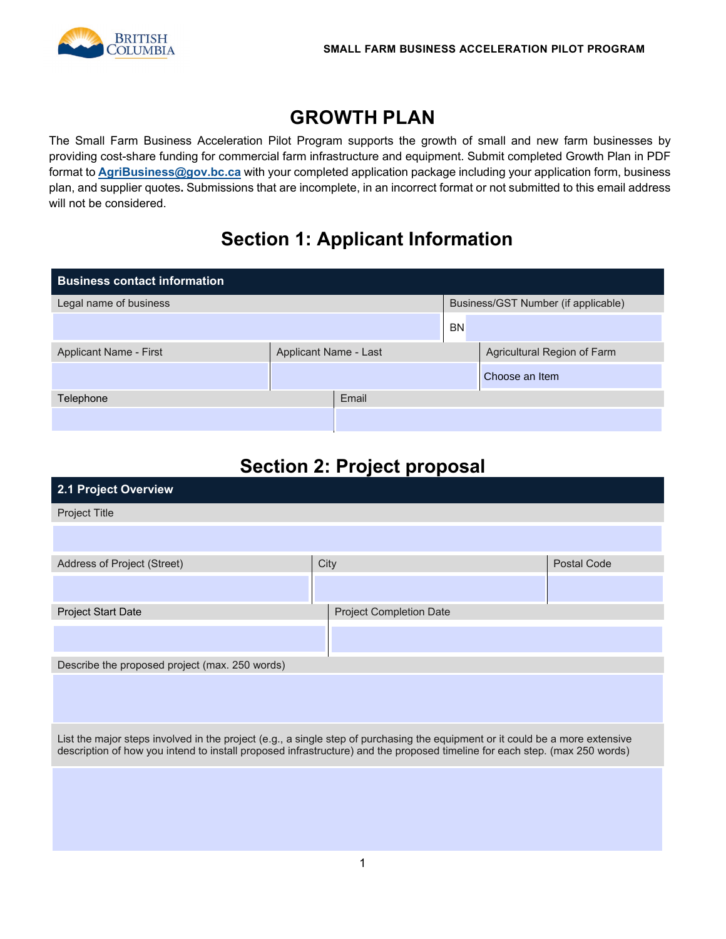

## **GROWTH PLAN**

The Small Farm Business Acceleration Pilot Program supports the growth of small and new farm businesses by providing cost-share funding for commercial farm infrastructure and equipment. Submit completed Growth Plan in PDF format to **[AgriBusiness@gov.bc.ca](mailto:AgriBusiness@gov.bc.ca)** with your completed application package including your application form, business plan, and supplier quotes**.** Submissions that are incomplete, in an incorrect format or not submitted to this email address will not be considered.

# **Section 1: Applicant Information**

| <b>Business contact information</b> |                       |       |           |                                     |
|-------------------------------------|-----------------------|-------|-----------|-------------------------------------|
| Legal name of business              |                       |       |           | Business/GST Number (if applicable) |
|                                     |                       |       | <b>BN</b> |                                     |
| Applicant Name - First              | Applicant Name - Last |       |           | Agricultural Region of Farm         |
|                                     |                       |       |           | Choose an Item                      |
| Telephone                           |                       | Email |           |                                     |
|                                     |                       |       |           |                                     |

# **Section 2: Project proposal**

| 2.1 Project Overview                                                                                                                                                                                                                                        |      |                                |             |
|-------------------------------------------------------------------------------------------------------------------------------------------------------------------------------------------------------------------------------------------------------------|------|--------------------------------|-------------|
| Project Title                                                                                                                                                                                                                                               |      |                                |             |
|                                                                                                                                                                                                                                                             |      |                                |             |
| Address of Project (Street)                                                                                                                                                                                                                                 | City |                                | Postal Code |
|                                                                                                                                                                                                                                                             |      |                                |             |
| Project Start Date                                                                                                                                                                                                                                          |      | <b>Project Completion Date</b> |             |
|                                                                                                                                                                                                                                                             |      |                                |             |
| Describe the proposed project (max. 250 words)                                                                                                                                                                                                              |      |                                |             |
|                                                                                                                                                                                                                                                             |      |                                |             |
| List the major steps involved in the project (e.g., a single step of purchasing the equipment or it could be a more extensive<br>description of how you intend to install proposed infrastructure) and the proposed timeline for each step. (max 250 words) |      |                                |             |
|                                                                                                                                                                                                                                                             |      |                                |             |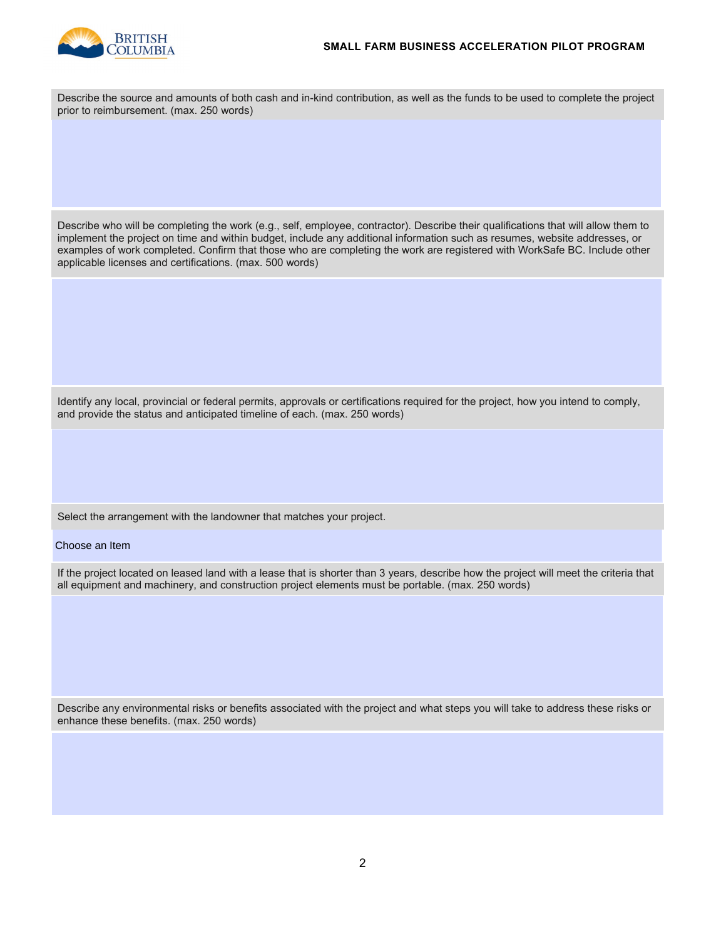

| Describe the source and amounts of both cash and in-kind contribution, as well as the funds to be used to complete the project<br>prior to reimbursement. (max. 250 words)                                                                                                                                                                                                                                                                                |
|-----------------------------------------------------------------------------------------------------------------------------------------------------------------------------------------------------------------------------------------------------------------------------------------------------------------------------------------------------------------------------------------------------------------------------------------------------------|
|                                                                                                                                                                                                                                                                                                                                                                                                                                                           |
|                                                                                                                                                                                                                                                                                                                                                                                                                                                           |
|                                                                                                                                                                                                                                                                                                                                                                                                                                                           |
| Describe who will be completing the work (e.g., self, employee, contractor). Describe their qualifications that will allow them to<br>implement the project on time and within budget, include any additional information such as resumes, website addresses, or<br>examples of work completed. Confirm that those who are completing the work are registered with WorkSafe BC. Include other<br>applicable licenses and certifications. (max. 500 words) |
|                                                                                                                                                                                                                                                                                                                                                                                                                                                           |
|                                                                                                                                                                                                                                                                                                                                                                                                                                                           |
|                                                                                                                                                                                                                                                                                                                                                                                                                                                           |
| Identify any local, provincial or federal permits, approvals or certifications required for the project, how you intend to comply,<br>and provide the status and anticipated timeline of each. (max. 250 words)                                                                                                                                                                                                                                           |
|                                                                                                                                                                                                                                                                                                                                                                                                                                                           |
|                                                                                                                                                                                                                                                                                                                                                                                                                                                           |
| Select the arrangement with the landowner that matches your project.                                                                                                                                                                                                                                                                                                                                                                                      |
| Choose an Item                                                                                                                                                                                                                                                                                                                                                                                                                                            |
| If the project located on leased land with a lease that is shorter than 3 years, describe how the project will meet the criteria that<br>all equipment and machinery, and construction project elements must be portable. (max. 250 words)                                                                                                                                                                                                                |
|                                                                                                                                                                                                                                                                                                                                                                                                                                                           |
|                                                                                                                                                                                                                                                                                                                                                                                                                                                           |
|                                                                                                                                                                                                                                                                                                                                                                                                                                                           |
| Describe any environmental risks or benefits associated with the project and what steps you will take to address these risks or<br>enhance these benefits. (max. 250 words)                                                                                                                                                                                                                                                                               |
|                                                                                                                                                                                                                                                                                                                                                                                                                                                           |
|                                                                                                                                                                                                                                                                                                                                                                                                                                                           |
|                                                                                                                                                                                                                                                                                                                                                                                                                                                           |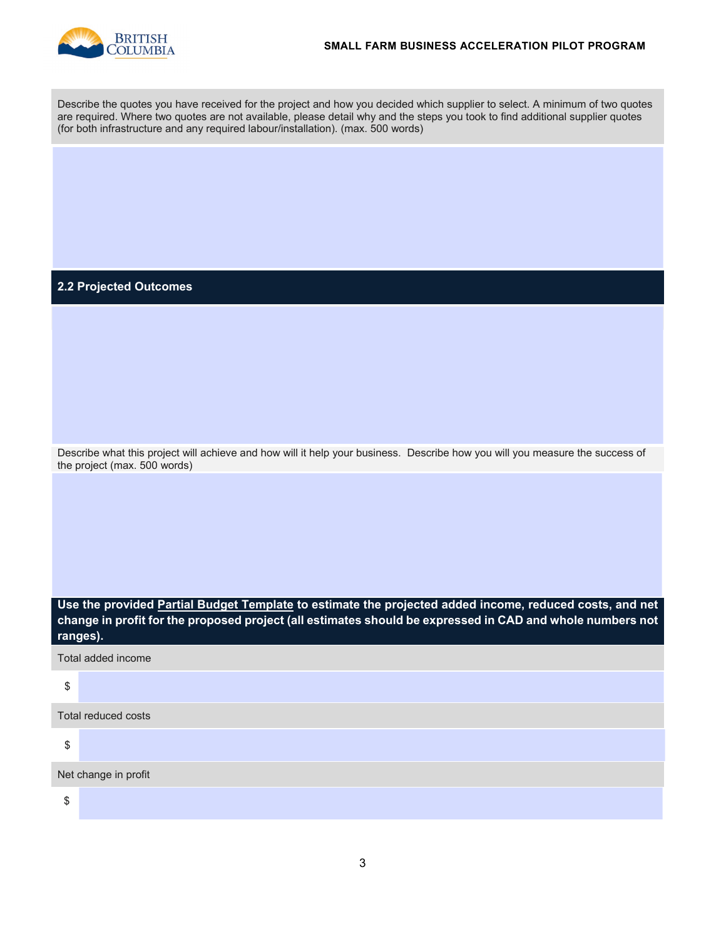

Describe the quotes you have received for the project and how you decided which supplier to select. A minimum of two quotes are required. Where two quotes are not available, please detail why and the steps you took to find additional supplier quotes (for both infrastructure and any required labour/installation). (max. 500 words)

#### **2.2 Projected Outcomes**

Describe what this project will achieve and how will it help your business. Describe how you will you measure the success of the project (max. 500 words)

**Use the provided Partial Budget Template to estimate the projected added income, reduced costs, and net change in profit for the proposed project (all estimates should be expressed in CAD and whole numbers not ranges).** 

|  |  |  | Total added income |
|--|--|--|--------------------|
|--|--|--|--------------------|

| ٦                   |
|---------------------|
| ۰<br>۰,<br>٠.<br>۰. |

\$

\$

Net change in profit